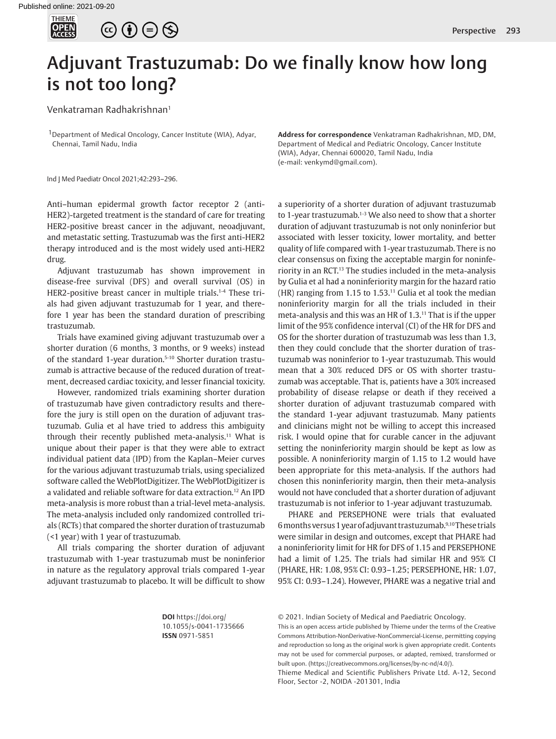



## Adjuvant Trastuzumab: Do we finally know how long is not too long?

Venkatraman Radhakrishnan1

1Department of Medical Oncology, Cancer Institute (WIA), Adyar, Chennai, Tamil Nadu, India

Ind J Med Paediatr Oncol 2021;42:293–296.

Anti–human epidermal growth factor receptor 2 (anti-HER2)-targeted treatment is the standard of care for treating HER2-positive breast cancer in the adjuvant, neoadjuvant, and metastatic setting. Trastuzumab was the first anti-HER2 therapy introduced and is the most widely used anti-HER2 drug.

<span id="page-0-0"></span>Adjuvant trastuzumab has shown improvement in disease-free survival (DFS) and overall survival (OS) in HER2-positive breast cancer in multiple trials.<sup>[1-](#page-2-0)[4](#page-2-1)</sup> These trials had given adjuvant trastuzumab for 1 year, and therefore 1 year has been the standard duration of prescribing trastuzumab.

<span id="page-0-3"></span>Trials have examined giving adjuvant trastuzumab over a shorter duration (6 months, 3 months, or 9 weeks) instead of the standard 1-year duration.<sup>5-10</sup> Shorter duration trastuzumab is attractive because of the reduced duration of treatment, decreased cardiac toxicity, and lesser financial toxicity.

<span id="page-0-6"></span>However, randomized trials examining shorter duration of trastuzumab have given contradictory results and therefore the jury is still open on the duration of adjuvant trastuzumab. Gulia et al have tried to address this ambiguity through their recently published meta-analysis.<sup>[11](#page-3-1)</sup> What is unique about their paper is that they were able to extract individual patient data (IPD) from the Kaplan–Meier curves for the various adjuvant trastuzumab trials, using specialized software called the WebPlotDigitizer. The WebPlotDigitizer is a validated and reliable software for data extraction.[12](#page-3-2) An IPD meta-analysis is more robust than a trial-level meta-analysis. The meta-analysis included only randomized controlled trials (RCTs) that compared the shorter duration of trastuzumab (<1 year) with 1 year of trastuzumab.

<span id="page-0-7"></span>All trials comparing the shorter duration of adjuvant trastuzumab with 1-year trastuzumab must be noninferior in nature as the regulatory approval trials compared 1-year adjuvant trastuzumab to placebo. It will be difficult to show

**Address for correspondence** Venkatraman Radhakrishnan, MD, DM, Department of Medical and Pediatric Oncology, Cancer Institute (WIA), Adyar, Chennai 600020, Tamil Nadu, India (e-mail: venkymd@gmail.com).

<span id="page-0-8"></span><span id="page-0-5"></span><span id="page-0-2"></span><span id="page-0-1"></span>a superiority of a shorter duration of adjuvant trastuzumab to 1-year trastuzumab.<sup>1[-3](#page-2-3)</sup> We also need to show that a shorter duration of adjuvant trastuzumab is not only noninferior but associated with lesser toxicity, lower mortality, and better quality of life compared with 1-year trastuzumab. There is no clear consensus on fixing the acceptable margin for noninferiority in an RCT.[13](#page-3-3) The studies included in the meta-analysis by Gulia et al had a noninferiority margin for the hazard ratio  $(HR)$  ranging from 1.15 to 1.53.<sup>11</sup> Gulia et al took the median noninferiority margin for all the trials included in their meta-analysis and this was an HR of 1.3[.11](#page-3-1) That is if the upper limit of the 95% confidence interval (CI) of the HR for DFS and OS for the shorter duration of trastuzumab was less than 1.3, then they could conclude that the shorter duration of trastuzumab was noninferior to 1-year trastuzumab. This would mean that a 30% reduced DFS or OS with shorter trastuzumab was acceptable. That is, patients have a 30% increased probability of disease relapse or death if they received a shorter duration of adjuvant trastuzumab compared with the standard 1-year adjuvant trastuzumab. Many patients and clinicians might not be willing to accept this increased risk. I would opine that for curable cancer in the adjuvant setting the noninferiority margin should be kept as low as possible. A noninferiority margin of 1.15 to 1.2 would have been appropriate for this meta-analysis. If the authors had chosen this noninferiority margin, then their meta-analysis would not have concluded that a shorter duration of adjuvant trastuzumab is not inferior to 1-year adjuvant trastuzumab.

<span id="page-0-4"></span>PHARE and PERSEPHONE were trials that evaluated 6 months versus 1 year of adjuvant trastuzumab.[9](#page-3-4),[10](#page-3-0) These trials were similar in design and outcomes, except that PHARE had a noninferiority limit for HR for DFS of 1.15 and PERSEPHONE had a limit of 1.25. The trials had similar HR and 95% CI (PHARE, HR: 1.08, 95% CI: 0.93–1.25; PERSEPHONE, HR: 1.07, 95% CI: 0.93–1.24). However, PHARE was a negative trial and

**DOI** https://doi.org/ 10.1055/s-0041-1735666 **ISSN** 0971-5851

© 2021. Indian Society of Medical and Paediatric Oncology.

This is an open access article published by Thieme under the terms of the Creative Commons Attribution-NonDerivative-NonCommercial-License, permitting copying and reproduction so long as the original work is given appropriate credit. Contents may not be used for commercial purposes, or adapted, remixed, transformed or built upon. (https://creativecommons.org/licenses/by-nc-nd/4.0/).

Thieme Medical and Scientific Publishers Private Ltd. A-12, Second Floor, Sector -2, NOIDA -201301, India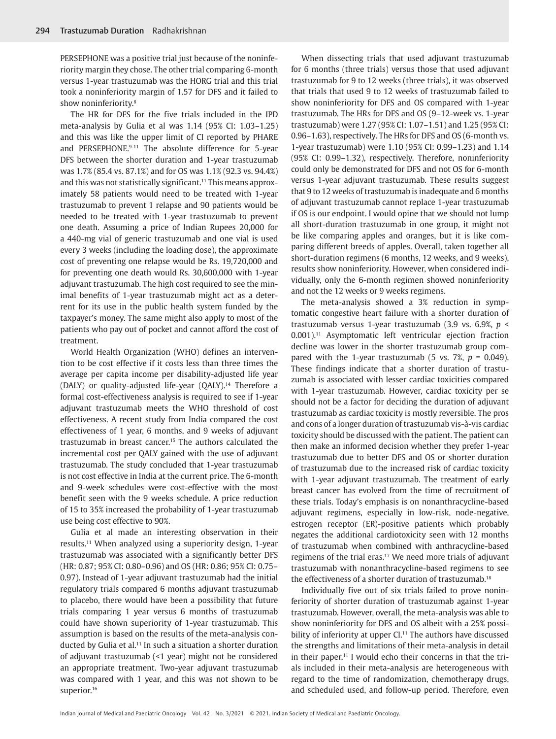PERSEPHONE was a positive trial just because of the noninferiority margin they chose. The other trial comparing 6-month versus 1-year trastuzumab was the HORG trial and this trial took a noninferiority margin of 1.57 for DFS and it failed to show noninferiority.[8](#page-2-4)

<span id="page-1-0"></span>The HR for DFS for the five trials included in the IPD meta-analysis by Gulia et al was 1.14 (95% CI: 1.03–1.25) and this was like the upper limit of CI reported by PHARE and PERSEPHONE.[9-](#page-3-4)[11](#page-3-1) The absolute difference for 5-year DFS between the shorter duration and 1-year trastuzumab was 1.7% (85.4 vs. 87.1%) and for OS was 1.1% (92.3 vs. 94.4%) and this was not statistically significant.<sup>11</sup> This means approximately 58 patients would need to be treated with 1-year trastuzumab to prevent 1 relapse and 90 patients would be needed to be treated with 1-year trastuzumab to prevent one death. Assuming a price of Indian Rupees 20,000 for a 440-mg vial of generic trastuzumab and one vial is used every 3 weeks (including the loading dose), the approximate cost of preventing one relapse would be Rs. 19,720,000 and for preventing one death would Rs. 30,600,000 with 1-year adjuvant trastuzumab. The high cost required to see the minimal benefits of 1-year trastuzumab might act as a deterrent for its use in the public health system funded by the taxpayer's money. The same might also apply to most of the patients who pay out of pocket and cannot afford the cost of treatment.

<span id="page-1-2"></span><span id="page-1-1"></span>World Health Organization (WHO) defines an intervention to be cost effective if it costs less than three times the average per capita income per disability-adjusted life year (DALY) or quality-adjusted life-year (QALY).<sup>14</sup> Therefore a formal cost-effectiveness analysis is required to see if 1-year adjuvant trastuzumab meets the WHO threshold of cost effectiveness. A recent study from India compared the cost effectiveness of 1 year, 6 months, and 9 weeks of adjuvant trastuzumab in breast cancer[.15](#page-3-6) The authors calculated the incremental cost per QALY gained with the use of adjuvant trastuzumab. The study concluded that 1-year trastuzumab is not cost effective in India at the current price. The 6-month and 9-week schedules were cost-effective with the most benefit seen with the 9 weeks schedule. A price reduction of 15 to 35% increased the probability of 1-year trastuzumab use being cost effective to 90%.

<span id="page-1-3"></span>Gulia et al made an interesting observation in their results[.11](#page-3-1) When analyzed using a superiority design, 1-year trastuzumab was associated with a significantly better DFS (HR: 0.87; 95% CI: 0.80–0.96) and OS (HR: 0.86; 95% CI: 0.75– 0.97). Instead of 1-year adjuvant trastuzumab had the initial regulatory trials compared 6 months adjuvant trastuzumab to placebo, there would have been a possibility that future trials comparing 1 year versus 6 months of trastuzumab could have shown superiority of 1-year trastuzumab. This assumption is based on the results of the meta-analysis con-ducted by Gulia et al.<sup>[11](#page-3-1)</sup> In such a situation a shorter duration of adjuvant trastuzumab (<1 year) might not be considered an appropriate treatment. Two-year adjuvant trastuzumab was compared with 1 year, and this was not shown to be superior.<sup>[16](#page-3-7)</sup>

When dissecting trials that used adjuvant trastuzumab for 6 months (three trials) versus those that used adjuvant trastuzumab for 9 to 12 weeks (three trials), it was observed that trials that used 9 to 12 weeks of trastuzumab failed to show noninferiority for DFS and OS compared with 1-year trastuzumab. The HRs for DFS and OS (9–12-week vs. 1-year trastuzumab) were 1.27 (95% CI: 1.07–1.51) and 1.25 (95% CI: 0.96–1.63), respectively. The HRs for DFS and OS (6-month vs. 1-year trastuzumab) were 1.10 (95% CI: 0.99–1.23) and 1.14 (95% CI: 0.99–1.32), respectively. Therefore, noninferiority could only be demonstrated for DFS and not OS for 6-month versus 1-year adjuvant trastuzumab. These results suggest that 9 to 12 weeks of trastuzumab is inadequate and 6 months of adjuvant trastuzumab cannot replace 1-year trastuzumab if OS is our endpoint. I would opine that we should not lump all short-duration trastuzumab in one group, it might not be like comparing apples and oranges, but it is like comparing different breeds of apples. Overall, taken together all short-duration regimens (6 months, 12 weeks, and 9 weeks), results show noninferiority. However, when considered individually, only the 6-month regimen showed noninferiority and not the 12 weeks or 9 weeks regimens.

The meta-analysis showed a 3% reduction in symptomatic congestive heart failure with a shorter duration of trastuzumab versus 1-year trastuzumab (3.9 vs. 6.9%, *p* < 0.001).[11](#page-3-1) Asymptomatic left ventricular ejection fraction decline was lower in the shorter trastuzumab group compared with the 1-year trastuzumab (5 vs.  $7\%$ ,  $p = 0.049$ ). These findings indicate that a shorter duration of trastuzumab is associated with lesser cardiac toxicities compared with 1-year trastuzumab. However, cardiac toxicity per se should not be a factor for deciding the duration of adjuvant trastuzumab as cardiac toxicity is mostly reversible. The pros and cons of a longer duration of trastuzumab vis-à-vis cardiac toxicity should be discussed with the patient. The patient can then make an informed decision whether they prefer 1-year trastuzumab due to better DFS and OS or shorter duration of trastuzumab due to the increased risk of cardiac toxicity with 1-year adjuvant trastuzumab. The treatment of early breast cancer has evolved from the time of recruitment of these trials. Today's emphasis is on nonanthracycline-based adjuvant regimens, especially in low-risk, node-negative, estrogen receptor (ER)-positive patients which probably negates the additional cardiotoxicity seen with 12 months of trastuzumab when combined with anthracycline-based regimens of the trial eras.<sup>17</sup> We need more trials of adjuvant trastuzumab with nonanthracycline-based regimens to see the effectiveness of a shorter duration of trastuzumab.<sup>18</sup>

<span id="page-1-5"></span><span id="page-1-4"></span>Individually five out of six trials failed to prove noninferiority of shorter duration of trastuzumab against 1-year trastuzumab. However, overall, the meta-analysis was able to show noninferiority for DFS and OS albeit with a 25% possi-bility of inferiority at upper CL<sup>[11](#page-3-1)</sup> The authors have discussed the strengths and limitations of their meta-analysis in detail in their paper.<sup>11</sup> I would echo their concerns in that the trials included in their meta-analysis are heterogeneous with regard to the time of randomization, chemotherapy drugs, and scheduled used, and follow-up period. Therefore, even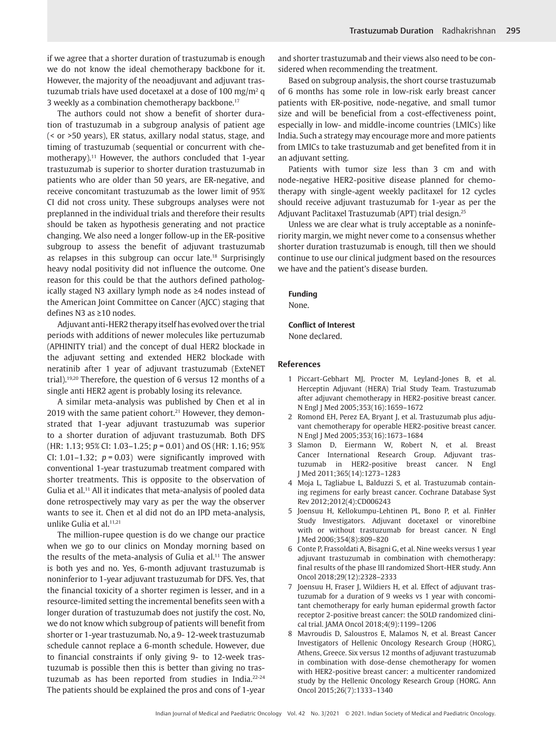if we agree that a shorter duration of trastuzumab is enough we do not know the ideal chemotherapy backbone for it. However, the majority of the neoadjuvant and adjuvant trastuzumab trials have used docetaxel at a dose of 100 mg/m<sup>2</sup> q 3 weekly as a combination chemotherapy backbone.[17](#page-3-8)

The authors could not show a benefit of shorter duration of trastuzumab in a subgroup analysis of patient age (< or >50 years), ER status, axillary nodal status, stage, and timing of trastuzumab (sequential or concurrent with chemotherapy).<sup>11</sup> However, the authors concluded that 1-year trastuzumab is superior to shorter duration trastuzumab in patients who are older than 50 years, are ER-negative, and receive concomitant trastuzumab as the lower limit of 95% CI did not cross unity. These subgroups analyses were not preplanned in the individual trials and therefore their results should be taken as hypothesis generating and not practice changing. We also need a longer follow-up in the ER-positive subgroup to assess the benefit of adjuvant trastuzumab as relapses in this subgroup can occur late.[18](#page-3-9) Surprisingly heavy nodal positivity did not influence the outcome. One reason for this could be that the authors defined pathologically staged N3 axillary lymph node as ≥4 nodes instead of the American Joint Committee on Cancer (AJCC) staging that defines N3 as ≥10 nodes.

Adjuvant anti-HER2 therapy itself has evolved over the trial periods with additions of newer molecules like pertuzumab (APHINITY trial) and the concept of dual HER2 blockade in the adjuvant setting and extended HER2 blockade with neratinib after 1 year of adjuvant trastuzumab (ExteNET trial)[.19](#page-3-10)[,20](#page-3-11) Therefore, the question of 6 versus 12 months of a single anti HER2 agent is probably losing its relevance.

<span id="page-2-7"></span><span id="page-2-6"></span><span id="page-2-5"></span>A similar meta-analysis was published by Chen et al in 2019 with the same patient cohort.<sup>[21](#page-3-12)</sup> However, they demonstrated that 1-year adjuvant trastuzumab was superior to a shorter duration of adjuvant trastuzumab. Both DFS (HR: 1.13; 95% CI: 1.03–1.25; *p* = 0.01) and OS (HR: 1.16; 95% CI:  $1.01-1.32$ ;  $p = 0.03$ ) were significantly improved with conventional 1-year trastuzumab treatment compared with shorter treatments. This is opposite to the observation of Gulia et al.<sup>11</sup> All it indicates that meta-analysis of pooled data done retrospectively may vary as per the way the observer wants to see it. Chen et al did not do an IPD meta-analysis, unlike Gulia et al.<sup>[11](#page-3-1)[,21](#page-3-12)</sup>

<span id="page-2-8"></span>The million-rupee question is do we change our practice when we go to our clinics on Monday morning based on the results of the meta-analysis of Gulia et al.<sup>11</sup> The answer is both yes and no. Yes, 6-month adjuvant trastuzumab is noninferior to 1-year adjuvant trastuzumab for DFS. Yes, that the financial toxicity of a shorter regimen is lesser, and in a resource-limited setting the incremental benefits seen with a longer duration of trastuzumab does not justify the cost. No, we do not know which subgroup of patients will benefit from shorter or 1-year trastuzumab. No, a 9- 12-week trastuzumab schedule cannot replace a 6-month schedule. However, due to financial constraints if only giving 9- to 12-week trastuzumab is possible then this is better than giving no trastuzumab as has been reported from studies in India[.22](#page-3-13)[-24](#page-3-14) The patients should be explained the pros and cons of 1-year

and shorter trastuzumab and their views also need to be considered when recommending the treatment.

Based on subgroup analysis, the short course trastuzumab of 6 months has some role in low-risk early breast cancer patients with ER-positive, node-negative, and small tumor size and will be beneficial from a cost-effectiveness point, especially in low- and middle-income countries (LMICs) like India. Such a strategy may encourage more and more patients from LMICs to take trastuzumab and get benefited from it in an adjuvant setting.

Patients with tumor size less than 3 cm and with node-negative HER2-positive disease planned for chemotherapy with single-agent weekly paclitaxel for 12 cycles should receive adjuvant trastuzumab for 1-year as per the Adjuvant Paclitaxel Trastuzumab (APT) trial design[.25](#page-3-15)

<span id="page-2-10"></span>Unless we are clear what is truly acceptable as a noninferiority margin, we might never come to a consensus whether shorter duration trastuzumab is enough, till then we should continue to use our clinical judgment based on the resources we have and the patient's disease burden.

**Funding** None.

## **Conflict of Interest**

None declared.

## **References**

- <span id="page-2-0"></span>[1](#page-0-0) Piccart-Gebhart MJ, Procter M, Leyland-Jones B, et al. Herceptin Adjuvant (HERA) Trial Study Team. Trastuzumab after adjuvant chemotherapy in HER2-positive breast cancer. N Engl J Med 2005;353(16):1659–1672
- 2 Romond EH, Perez EA, Bryant J, et al. Trastuzumab plus adjuvant chemotherapy for operable HER2-positive breast cancer. N Engl J Med 2005;353(16):1673–1684
- <span id="page-2-3"></span>[3](#page-0-1) Slamon D, Eiermann W, Robert N, et al. Breast Cancer International Research Group. Adjuvant trastuzumab in HER2-positive breast cancer. N Engl J Med 2011;365(14):1273–1283
- <span id="page-2-1"></span>[4](#page-0-2) Moja L, Tagliabue L, Balduzzi S, et al. Trastuzumab containing regimens for early breast cancer. Cochrane Database Syst Rev 2012;2012(4):CD006243
- <span id="page-2-2"></span>[5](#page-0-3) Joensuu H, Kellokumpu-Lehtinen PL, Bono P, et al. FinHer Study Investigators. Adjuvant docetaxel or vinorelbine with or without trastuzumab for breast cancer. N Engl J Med 2006;354(8):809–820
- 6 Conte P, Frassoldati A, Bisagni G, et al. Nine weeks versus 1 year adjuvant trastuzumab in combination with chemotherapy: final results of the phase III randomized Short-HER study. Ann Oncol 2018;29(12):2328–2333
- 7 Joensuu H, Fraser J, Wildiers H, et al. Effect of adjuvant trastuzumab for a duration of 9 weeks vs 1 year with concomitant chemotherapy for early human epidermal growth factor receptor 2-positive breast cancer: the SOLD randomized clinical trial. JAMA Oncol 2018;4(9):1199–1206
- <span id="page-2-9"></span><span id="page-2-4"></span>[8](#page-1-0) Mavroudis D, Saloustros E, Malamos N, et al. Breast Cancer Investigators of Hellenic Oncology Research Group (HORG), Athens, Greece. Six versus 12 months of adjuvant trastuzumab in combination with dose-dense chemotherapy for women with HER2-positive breast cancer: a multicenter randomized study by the Hellenic Oncology Research Group (HORG. Ann Oncol 2015;26(7):1333–1340